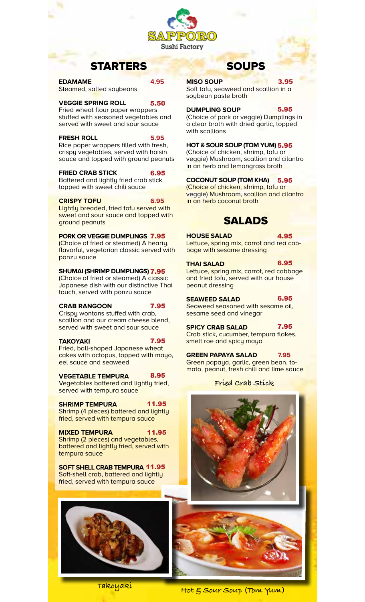

5.50

# STARTERS

**EDAMAME 4.95** Steamed, salted soybeans

## **VEGGIE SPRING ROLL**

Fried wheat flour paper wrappers stuffed with seasoned vegetables and served with sweet and sour sauce

## **FRESH ROLL 5.95**

Rice paper wrappers filled with fresh, crispy vegetables, served with hoisin sauce and topped with ground peanuts

#### **FRIED CRAB STICK** 6.95

Battered and lightly fried crab stick topped with sweet chili sauce

## **CRISPY TOFU 6.95**

Lightly breaded, fried tofu served with sweet and sour sauce and topped with ground peanuts

## **PORK OR VEGGIE DUMPLINGS 7.95**

(Choice of fried or steamed) A hearty, flavorful, vegetarian classic served with ponzu sauce

## SHUMAI (SHRIMP DUMPLINGS) **7.95**

(Choice of fried or steamed) A classic Japanese dish with our distinctive Thai touch, served with ponzu sauce

**CRAB RANGOON 6.95** Crispy wontons stuffed with crab, scallion and our cream cheese blend, served with sweet and sour sauce 7.95

## **TAKOYAKI**

Fried, ball-shaped Japanese wheat cakes with octopus, topped with mayo, eel sauce and seaweed 7.95

#### **VEGETABLE TEMPURA** 8.95

Vegetables battered and lightly fried, served with tempura sauce

#### **SHRIMP TEMPURA** 11.95

Shrimp (4 pieces) battered and lightly fried, served with tempura sauce

**MIXED TEMPURA** Shrimp (2 pieces) and vegetables, battered and lightly fried, served with tempura sauce 11.95

**SOFT SHELL CRAB TEMPURA 10.95** 11.95 Soft-shell crab, battered and lightly fried, served with tempura sauce



# SOUPS

### **MISO SOUP**

3.95

Soft tofu, seaweed and scallion in a soybean paste broth

## **DUMPLING SOUP 4.95**

(Choice of pork or veggie) Dumplings in a clear broth with dried garlic, topped with scallions

## **HOT & SOUR SOUP (TOM YUM) 4.95** 5.95

(Choice of chicken, shrimp, tofu or veggie) Mushroom, scallion and cilantro in an herb and lemongrass broth

#### **COCONUT SOUP (TOM KHA)** 5.95

(Choice of chicken, shrimp, tofu or veggie) Mushroom, scallion and cilantro in an herb coconut broth

## SALADS

## **HOUSE SALAD 3.95**

4.95

Lettuce, spring mix, carrot and red cabbage with sesame dressing

6.95

**THAI SALAD** Lettuce, spring mix, carrot, red cabbage and fried tofu, served with our house peanut dressing 6.95

## **SEAWEED SALAD**

Seaweed seasoned with sesame oil, sesame seed and vinegar

**SPICY CRAB SALAD** Crab stick, cucumber, tempura flakes, smelt roe and spicy mayo 7.95

**GREEN PAPAYA SALAD 7.95** Green papaya, garlic, green bean, tomato, peanut, fresh chili and lime sauce

**Fried Crab Stick**





**Takoyaki**

## **Hot & Sour Soup (Tom Yum)**

5.95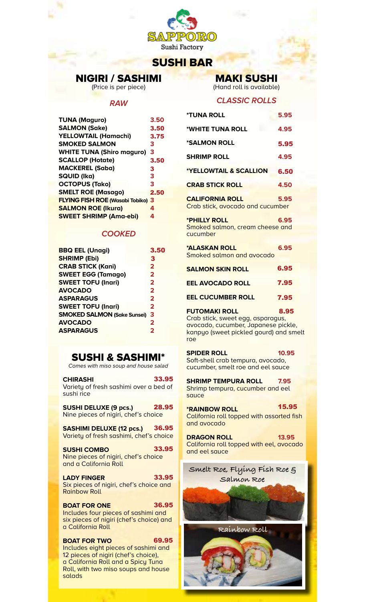

## SUSHI BAR

# NIGIRI / SASHIMI

(Price is per piece)

## **RAW**

| <b>TUNA (Maguro)</b>                     | 3.50 |
|------------------------------------------|------|
| <b>SALMON (Sake)</b>                     | 3.50 |
| <b>YELLOWTAIL (Hamachi)</b>              | 3.75 |
| <b>SMOKED SALMON</b>                     | 3    |
| <b>WHITE TUNA (Shiro maguro)</b>         | 3    |
| <b>SCALLOP (Hotate)</b>                  | 3.50 |
| <b>MACKEREL (Saba)</b>                   | 3    |
| <b>SQUID (Ika)</b>                       | 3    |
| <b>OCTOPUS (Tako)</b>                    | 3    |
| <b>SMELT ROE (Masago)</b>                | 2.50 |
| <b>FLYING FISH ROE (Wasabi Tobiko) 3</b> |      |
| <b>SALMON ROE (Ikura)</b>                | 4    |
| <b>SWEET SHRIMP (Ama-ebi)</b>            | 4    |
|                                          |      |

## **COOKED**

| <b>BBQ EEL (Unagi)</b>             | 3.50                    |
|------------------------------------|-------------------------|
| <b>SHRIMP (Ebi)</b>                | 3                       |
| <b>CRAB STICK (Kani)</b>           | $\overline{2}$          |
| <b>SWEET EGG (Tamago)</b>          | $\overline{2}$          |
| <b>SWEET TOFU (Inari)</b>          | $\overline{2}$          |
| <b>AVOCADO</b>                     | $\overline{\mathbf{2}}$ |
| <b>ASPARAGUS</b>                   | $\overline{\mathbf{2}}$ |
| <b>SWEET TOFU (Inari)</b>          | $\overline{2}$          |
| <b>SMOKED SALMON (Sake Sunsei)</b> | 3                       |
| <b>AVOCADO</b>                     | $\overline{\mathbf{2}}$ |
| <b>ASPARAGUS</b>                   | 2                       |
|                                    |                         |

## SUSHI & SASHIMI\*

Comes with miso soup and house salad

| <b>CHIRASHI</b>                        | 33.95 |
|----------------------------------------|-------|
| Variety of fresh sashimi over a bed of |       |
| sushi rice                             |       |

**Saching Lines in Pressure (Press, 2008) SUSHI DELUXE (9 pcs.)** 28.95

**SASHIMI DELUXE (12 pcs.)** Variety of fresh sashimi, chef's choice 36.95

**SUSHI COMBO** Nine pieces of nigiri, chef's choice and a California Roll 33.95

LADY FINGER Six pieces of nigiri, chef's choice and Rainbow Roll 33.95

**BOAT FOR ONE** Includes four pieces of sashimi and six pieces of nigiri (chef's choice) and a California Roll 36.95

#### **BOAT FOR TWO** Includes eight pieces of sashimi and 12 pieces of nigiri (chef's choice), a California Roll and a Spicy Tuna Roll, with two miso soups and house salads 69.95

## MAKI SUSHI

(Hand roll is available)

## **CLASSIC ROLLS**

| <b>*TUNA ROLL</b>                                                                                                                                 | 5.95  |
|---------------------------------------------------------------------------------------------------------------------------------------------------|-------|
| *WHITE TUNA ROLL                                                                                                                                  | 4.95  |
| *SALMON ROLL                                                                                                                                      | 5.95  |
| <b>SHRIMP ROLL</b>                                                                                                                                | 4.95  |
| <b>*YELLOWTAIL &amp; SCALLION</b>                                                                                                                 | 6.50  |
| <b>CRAB STICK ROLL</b>                                                                                                                            | 4.50  |
| <b>CALIFORNIA ROLL</b><br>Crab stick, avocado and cucumber                                                                                        | 5.95  |
| *PHILLY ROLL<br>Smoked salmon, cream cheese and<br>cucumber                                                                                       | 6.95  |
| <b>*ALASKAN ROLL</b><br>Smoked salmon and avocado                                                                                                 | 6.95  |
| <b>SALMON SKIN ROLL</b>                                                                                                                           | 6.95  |
| <b>EEL AVOCADO ROLL</b>                                                                                                                           | 7.95  |
| <b>EEL CUCUMBER ROLL</b>                                                                                                                          | 7.95  |
| <b>FUTOMAKI ROLL</b><br>Crab stick, sweet egg, asparagus,<br>avocado, cucumber, Japanese pickle,<br>kanpyo (sweet pickled gourd) and smelt<br>roe | 8.95  |
| <b>SPIDER ROLL</b><br>Soft-shell crab tempura, avocado,<br>cucumber, smelt roe and eel sauce                                                      | 10.95 |
| <b>SHRIMP TEMPURA ROLL</b><br>Shrimp tempura, cucumber and eel<br>sauce                                                                           | 7.95  |
| <b>*RAINBOW ROLL</b><br>California roll topped with assorted fish<br>and avocado                                                                  | 15.95 |
| <b>DRAGON ROLL</b><br>California roll topped with eel, avocado<br>and eel sauce                                                                   | 13.95 |
| Smelt Roe, Flying Fish Roe g<br>Salmon Roe                                                                                                        |       |
|                                                                                                                                                   |       |
| Raínbow Roll                                                                                                                                      |       |
|                                                                                                                                                   |       |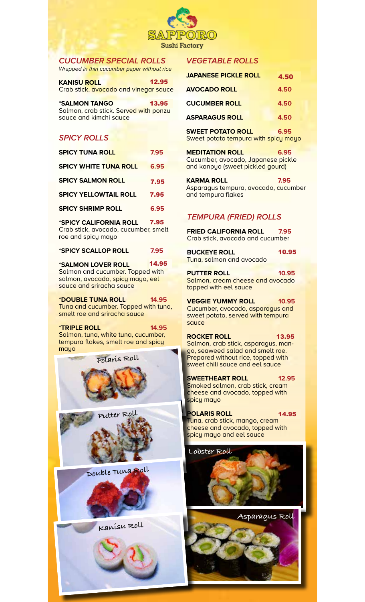

## **CUCUMBER SPECIAL ROLLS**

Wrapped in thin cucumber paper without rice

**KANISU ROLL** Crab stick, avocado and vinegar sauce 12.95

| <i><b>*SALMON TANGO</b></i>           | 13.95 |
|---------------------------------------|-------|
| Salmon, crab stick. Served with ponzu |       |
| squce and kimchi squce                |       |

## **SPICY ROLLS**

| <b>SPICY TUNA ROLL</b>       | 7.95 |
|------------------------------|------|
| <b>SPICY WHITE TUNA ROLL</b> | 6.95 |
| <b>SPICY SALMON ROLL</b>     | 7.95 |
| <b>SPICY YELLOWTAIL ROLL</b> | 7.95 |
| <b>SPICY SHRIMP ROLL</b>     | 6.95 |

**\*SPICY CALIFORNIA ROLL 6.95** Crab stick, avocado, cucumber, smelt roe and spicy mayo 7.95

**\*SPICY SCALLOP ROLL 7.95**

**\*SALMON LOVER ROLL 13.95** Salmon and cucumber. Topped with salmon, avocado, spicy mayo, eel sauce and sriracha sauce 14.95

**\*DOUBLE TUNA ROLL 14.95** Tuna and cucumber. Topped with tuna, smelt roe and sriracha sauce

**\*TRIPLE ROLL 14.95** Salmon, tuna, white tuna, cucumber, tempura flakes, smelt roe and spicy mayo

**Polaris Roll**





**Double Tuna Roll**





## **VEGETABLE ROLLS**

| <b>JAPANESE PICKLE ROLL</b>          | 4.50 |
|--------------------------------------|------|
| <b>AVOCADO ROLL</b>                  | 4.50 |
| <b>CUCUMBER ROLL</b>                 | 4.50 |
| <b>ASPARAGUS ROLL</b>                | 4.50 |
| <b>SWEET POTATO ROLL</b>             | 6.95 |
| Sweet potato tempura with spicy mayo |      |

**MEDITATION ROLL 6.95** Cucumber, avocado, Japanese pickle and kanpyo (sweet pickled gourd)

**KARMA ROLL 7.95** Asparagus tempura, avocado, cucumber and tempura flakes

## **TEMPURA (FRIED) ROLLS**

**FRIED CALIFORNIA ROLL 7.95** Crab stick, avocado and cucumber

**BUCKEYE ROLL** Tuna, salmon and avocado 10.95

**PUTTER ROLL 10.95** Salmon, cream cheese and avocado topped with eel sauce

**VEGGIE YUMMY ROLL 10.95** Cucumber, avocado, asparagus and

sweet potato, served with tempura sauce **ROCKET ROLL** 13.95

Salmon, crab stick, asparagus, mango, seaweed salad and smelt roe. Prepared without rice, topped with sweet chili sauce and eel sauce

**SWEETHEART ROLL 12.95** Smoked salmon, crab stick, cream cheese and avocado, topped with spicy mayo

**POLARIS ROLL** Tuna, crab stick, mango, cream cheese and avocado, topped with spicy mayo and eel sauce 14.95

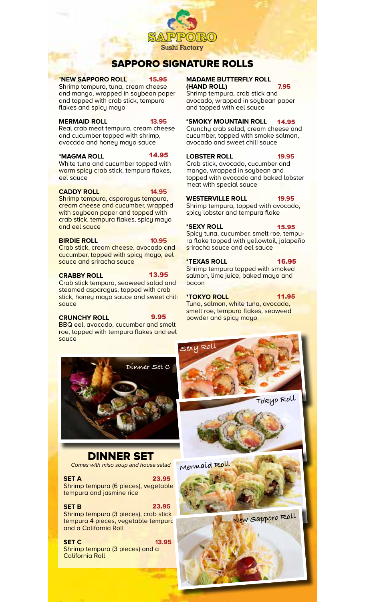

## SAPPORO SIGNATURE ROLLS

### \***NEW SAPPORO ROLL 14.95**

Shrimp tempura, tuna, cream cheese and mango, wrapped in soybean paper and topped with crab stick, tempura flakes and spicy mayo

## **MERMAID ROLL 13.95**

Real crab meat tempura, cream cheese and cucumber topped with shrimp, avocado and honey mayo sauce

### **\*MAGMA ROLL 13.95**

White tuna and cucumber topped with warm spicy crab stick, tempura flakes, eel sauce

### **CADDY ROLL 14.95**

14.95

Shrimp tempura, asparagus tempura, cream cheese and cucumber, wrapped with soybean paper and topped with crab stick, tempura flakes, spicy mayo and eel sauce

### **BIRDIE ROLL 10.95**

Crab stick, cream cheese, avocado and cucumber, topped with spicy mayo, eel sauce and sriracha sauce

## **CRABBY ROLL**

### 13.95

Crab stick tempura, seaweed salad and steamed asparagus, topped with crab stick, honey mayo sauce and sweet chili sauce

## **CRUNCHY ROLL**

9.95

23.95

BBQ eel, avocado, cucumber and smelt roe, topped with tempura flakes and eel sauce

#### **MADAME BUTTERFLY ROLL (HAND ROLL) 7.95**

Shrimp tempura, crab stick and avocado, wrapped in soybean paper and topped with eel sauce **15.95 MADAME BUTTERFLY ROLL**<br>heese (HAND ROLL) 7.95<br>on paper Shrimp tempura, crab stick and<br>npura avocado, wrapped in soybean paper<br>and topped with eel sauce<br>13.95 \*SMOKY MOUNTAIN ROLL 14.95

### **\*SMOKY MOUNTAIN ROLL 13.95**

Crunchy crab salad, cream cheese and cucumber, topped with smoke salmon, avocado and sweet chili sauce

## **LOBSTER ROLL 19.95**

Crab stick, avocado, cucumber and mango, wrapped in soybean and topped with avocado and baked lobster meat with special sauce

## WESTERVILLE ROLL **19.95**

Shrimp tempura, topped with avocado, spicy lobster and tempura flake

## **\*SEXY ROLL 14.95**

15.95

16.95

Spicy tuna, cucumber, smelt roe, tempura flake topped with yellowtail, jalapeño sriracha sauce and eel sauce

## **\*TEXAS ROLL 15.95**

Shrimp tempura topped with smoked salmon, lime juice, baked mayo and bacon

## 11.95

**\*TOKYO ROLL 10.95** Tuna, salmon, white tuna, avocado, smelt roe, tempura flakes, seaweed powder and spicy mayo



DINNER SET Comes with miso soup and house salad

**SET A** 23.95 Shrimp tempura (6 pieces), vegetable tempura and jasmine rice 23.95

## **SET B**

Shrimp tempura (3 pieces), crab stick tempura 4 pieces, vegetable tempura and a California Roll

**SET C 13.95** Shrimp tempura (3 pieces) and a California Roll

**New Sapporo Roll**

**Tokyo Roll**

**Mermaid Roll**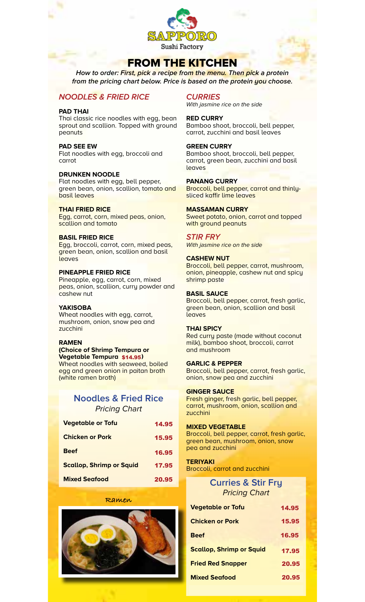

## FROM THE KITCHEN

**How to order: First, pick a recipe from the menu. Then pick a protein from the pricing chart below. Price is based on the protein you choose.**

## **NOODLES & FRIED RICE**

#### **PAD THAI**

Thai classic rice noodles with egg, bean sprout and scallion. Topped with ground peanuts

### **PAD SEE EW**

Flat noodles with egg, broccoli and carrot

#### **DRUNKEN NOODLE**

Flat noodles with egg, bell pepper, green bean, onion, scallion, tomato and basil leaves

#### **THAI FRIED RICE**

Egg, carrot, corn, mixed peas, onion, scallion and tomato

#### **BASIL FRIED RICE**

Egg, broccoli, carrot, corn, mixed peas, green bean, onion, scallion and basil leaves

### **PINEAPPLE FRIED RICE**

Pineapple, egg, carrot, corn, mixed peas, onion, scallion, curry powder and cashew nut

### **YAKISOBA**

Wheat noodles with egg, carrot, mushroom, onion, snow pea and zucchini

#### **RAMEN**

**(Choice of Shrimp Tempura or Vegetable Tempura \$14.95)** Wheat noodles with seaweed, boiled egg and green onion in paitan broth (white ramen broth)

## **Noodles & Fried Rice** Pricing Chart

| <b>Vegetable or Tofu</b>        | 14.95 |
|---------------------------------|-------|
| <b>Chicken or Pork</b>          | 15.95 |
| <b>Beef</b>                     | 16.95 |
| <b>Scallop, Shrimp or Squid</b> | 17.95 |
| <b>Mixed Seafood</b>            | 20.95 |

#### **Ramen**



### **CURRIES**

With jasmine rice on the side

### **RED CURRY**

Bamboo shoot, broccoli, bell pepper, carrot, zucchini and basil leaves

### **GREEN CURRY**

Bamboo shoot, broccoli, bell pepper, carrot, green bean, zucchini and basil leaves

#### **PANANG CURRY**

Broccoli, bell pepper, carrot and thinlysliced kaffir lime leaves

#### **MASSAMAN CURRY**

Sweet potato, onion, carrot and topped with ground peanuts

#### **STIR FRY**

With jasmine rice on the side

#### **CASHEW NUT**

Broccoli, bell pepper, carrot, mushroom, onion, pineapple, cashew nut and spicy shrimp paste

#### **BASIL SAUCE**

Broccoli, bell pepper, carrot, fresh garlic, green bean, onion, scallion and basil leaves

#### **THAI SPICY**

Red curry paste (made without coconut milk), bamboo shoot, broccoli, carrot and mushroom

#### **GARLIC & PEPPER**

Broccoli, bell pepper, carrot, fresh garlic, onion, snow pea and zucchini

#### **GINGER SAUCE**

Fresh ginger, fresh garlic, bell pepper, carrot, mushroom, onion, scallion and zucchini

#### **MIXED VEGETABLE**

Broccoli, bell pepper, carrot, fresh garlic, green bean, mushroom, onion, snow pea and zucchini

### **TERIYAKI**

Broccoli, carrot and zucchini

## **Curries & Stir Fry** Pricing Chart

| <b>Vegetable or Tofu</b>        | 14.95 |
|---------------------------------|-------|
| <b>Chicken or Pork</b>          | 15.95 |
| <b>Beef</b>                     | 16.95 |
| <b>Scallop, Shrimp or Squid</b> | 17.95 |
| <b>Fried Red Snapper</b>        | 20.95 |
| <b>Mixed Seafood</b>            | 20.95 |